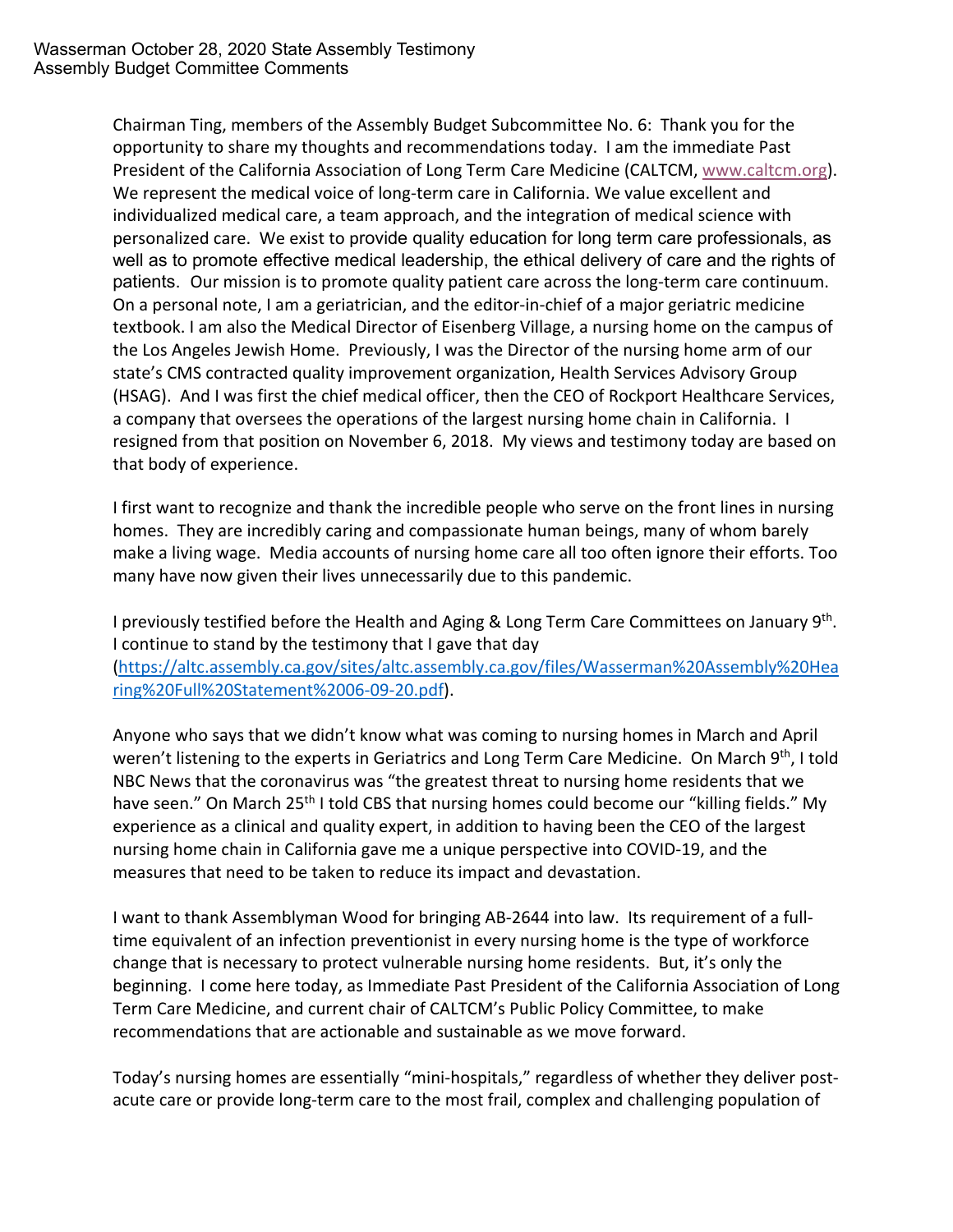Chairman Ting, members of the Assembly Budget Subcommittee No. 6: Thank you for the opportunity to share my thoughts and recommendations today. I am the immediate Past President of the California Association of Long Term Care Medicine (CALTCM, www.caltcm.org). We represent the medical voice of long-term care in California. We value excellent and individualized medical care, a team approach, and the integration of medical science with personalized care. We exist to provide quality education for long term care professionals, as well as to promote effective medical leadership, the ethical delivery of care and the rights of patients. Our mission is to promote quality patient care across the long-term care continuum. On a personal note, I am a geriatrician, and the editor-in-chief of a major geriatric medicine textbook. I am also the Medical Director of Eisenberg Village, a nursing home on the campus of the Los Angeles Jewish Home. Previously, I was the Director of the nursing home arm of our state's CMS contracted quality improvement organization, Health Services Advisory Group (HSAG). And I was first the chief medical officer, then the CEO of Rockport Healthcare Services, a company that oversees the operations of the largest nursing home chain in California. I resigned from that position on November 6, 2018. My views and testimony today are based on that body of experience.

I first want to recognize and thank the incredible people who serve on the front lines in nursing homes. They are incredibly caring and compassionate human beings, many of whom barely make a living wage. Media accounts of nursing home care all too often ignore their efforts. Too many have now given their lives unnecessarily due to this pandemic.

I previously testified before the Health and Aging & Long Term Care Committees on January 9<sup>th</sup>. I continue to stand by the testimony that I gave that day (https://altc.assembly.ca.gov/sites/altc.assembly.ca.gov/files/Wasserman%20Assembly%20Hea ring%20Full%20Statement%2006-09-20.pdf).

Anyone who says that we didn't know what was coming to nursing homes in March and April weren't listening to the experts in Geriatrics and Long Term Care Medicine. On March 9<sup>th</sup>, I told NBC News that the coronavirus was "the greatest threat to nursing home residents that we have seen." On March 25<sup>th</sup> I told CBS that nursing homes could become our "killing fields." My experience as a clinical and quality expert, in addition to having been the CEO of the largest nursing home chain in California gave me a unique perspective into COVID-19, and the measures that need to be taken to reduce its impact and devastation.

I want to thank Assemblyman Wood for bringing AB-2644 into law. Its requirement of a fulltime equivalent of an infection preventionist in every nursing home is the type of workforce change that is necessary to protect vulnerable nursing home residents. But, it's only the beginning. I come here today, as Immediate Past President of the California Association of Long Term Care Medicine, and current chair of CALTCM's Public Policy Committee, to make recommendations that are actionable and sustainable as we move forward.

Today's nursing homes are essentially "mini-hospitals," regardless of whether they deliver postacute care or provide long-term care to the most frail, complex and challenging population of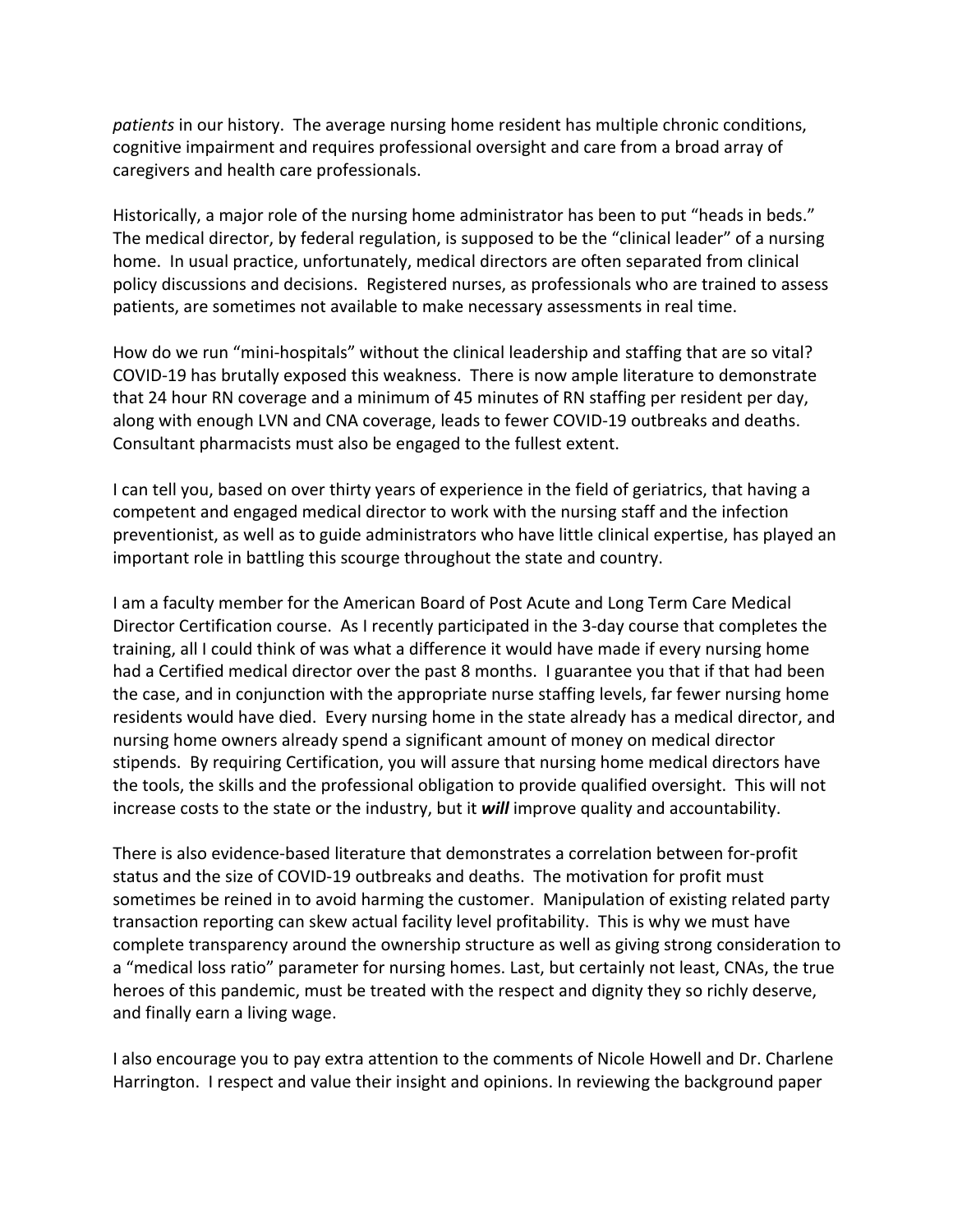*patients* in our history. The average nursing home resident has multiple chronic conditions, cognitive impairment and requires professional oversight and care from a broad array of caregivers and health care professionals.

Historically, a major role of the nursing home administrator has been to put "heads in beds." The medical director, by federal regulation, is supposed to be the "clinical leader" of a nursing home. In usual practice, unfortunately, medical directors are often separated from clinical policy discussions and decisions. Registered nurses, as professionals who are trained to assess patients, are sometimes not available to make necessary assessments in real time.

How do we run "mini-hospitals" without the clinical leadership and staffing that are so vital? COVID-19 has brutally exposed this weakness. There is now ample literature to demonstrate that 24 hour RN coverage and a minimum of 45 minutes of RN staffing per resident per day, along with enough LVN and CNA coverage, leads to fewer COVID-19 outbreaks and deaths. Consultant pharmacists must also be engaged to the fullest extent.

I can tell you, based on over thirty years of experience in the field of geriatrics, that having a competent and engaged medical director to work with the nursing staff and the infection preventionist, as well as to guide administrators who have little clinical expertise, has played an important role in battling this scourge throughout the state and country.

I am a faculty member for the American Board of Post Acute and Long Term Care Medical Director Certification course. As I recently participated in the 3-day course that completes the training, all I could think of was what a difference it would have made if every nursing home had a Certified medical director over the past 8 months. I guarantee you that if that had been the case, and in conjunction with the appropriate nurse staffing levels, far fewer nursing home residents would have died. Every nursing home in the state already has a medical director, and nursing home owners already spend a significant amount of money on medical director stipends. By requiring Certification, you will assure that nursing home medical directors have the tools, the skills and the professional obligation to provide qualified oversight. This will not increase costs to the state or the industry, but it *will* improve quality and accountability.

There is also evidence-based literature that demonstrates a correlation between for-profit status and the size of COVID-19 outbreaks and deaths. The motivation for profit must sometimes be reined in to avoid harming the customer. Manipulation of existing related party transaction reporting can skew actual facility level profitability. This is why we must have complete transparency around the ownership structure as well as giving strong consideration to a "medical loss ratio" parameter for nursing homes. Last, but certainly not least, CNAs, the true heroes of this pandemic, must be treated with the respect and dignity they so richly deserve, and finally earn a living wage.

I also encourage you to pay extra attention to the comments of Nicole Howell and Dr. Charlene Harrington. I respect and value their insight and opinions. In reviewing the background paper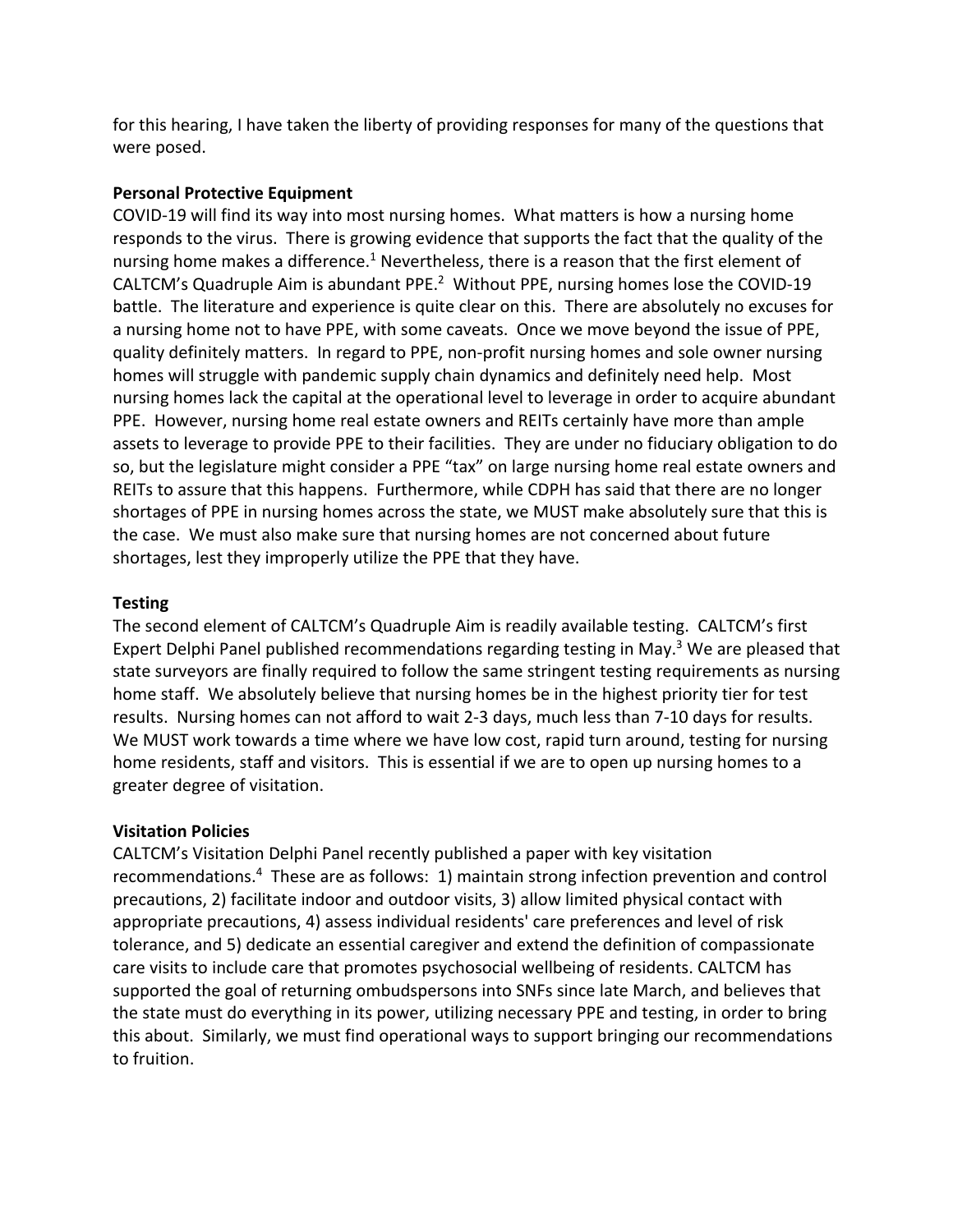for this hearing, I have taken the liberty of providing responses for many of the questions that were posed.

# **Personal Protective Equipment**

COVID-19 will find its way into most nursing homes. What matters is how a nursing home responds to the virus. There is growing evidence that supports the fact that the quality of the nursing home makes a difference.<sup>1</sup> Nevertheless, there is a reason that the first element of CALTCM's Quadruple Aim is abundant PPE.<sup>2</sup> Without PPE, nursing homes lose the COVID-19 battle. The literature and experience is quite clear on this. There are absolutely no excuses for a nursing home not to have PPE, with some caveats. Once we move beyond the issue of PPE, quality definitely matters. In regard to PPE, non-profit nursing homes and sole owner nursing homes will struggle with pandemic supply chain dynamics and definitely need help. Most nursing homes lack the capital at the operational level to leverage in order to acquire abundant PPE. However, nursing home real estate owners and REITs certainly have more than ample assets to leverage to provide PPE to their facilities. They are under no fiduciary obligation to do so, but the legislature might consider a PPE "tax" on large nursing home real estate owners and REITs to assure that this happens. Furthermore, while CDPH has said that there are no longer shortages of PPE in nursing homes across the state, we MUST make absolutely sure that this is the case. We must also make sure that nursing homes are not concerned about future shortages, lest they improperly utilize the PPE that they have.

# **Testing**

The second element of CALTCM's Quadruple Aim is readily available testing. CALTCM's first Expert Delphi Panel published recommendations regarding testing in May.<sup>3</sup> We are pleased that state surveyors are finally required to follow the same stringent testing requirements as nursing home staff. We absolutely believe that nursing homes be in the highest priority tier for test results. Nursing homes can not afford to wait 2-3 days, much less than 7-10 days for results. We MUST work towards a time where we have low cost, rapid turn around, testing for nursing home residents, staff and visitors. This is essential if we are to open up nursing homes to a greater degree of visitation.

#### **Visitation Policies**

CALTCM's Visitation Delphi Panel recently published a paper with key visitation recommendations.4 These are as follows: 1) maintain strong infection prevention and control precautions, 2) facilitate indoor and outdoor visits, 3) allow limited physical contact with appropriate precautions, 4) assess individual residents' care preferences and level of risk tolerance, and 5) dedicate an essential caregiver and extend the definition of compassionate care visits to include care that promotes psychosocial wellbeing of residents. CALTCM has supported the goal of returning ombudspersons into SNFs since late March, and believes that the state must do everything in its power, utilizing necessary PPE and testing, in order to bring this about. Similarly, we must find operational ways to support bringing our recommendations to fruition.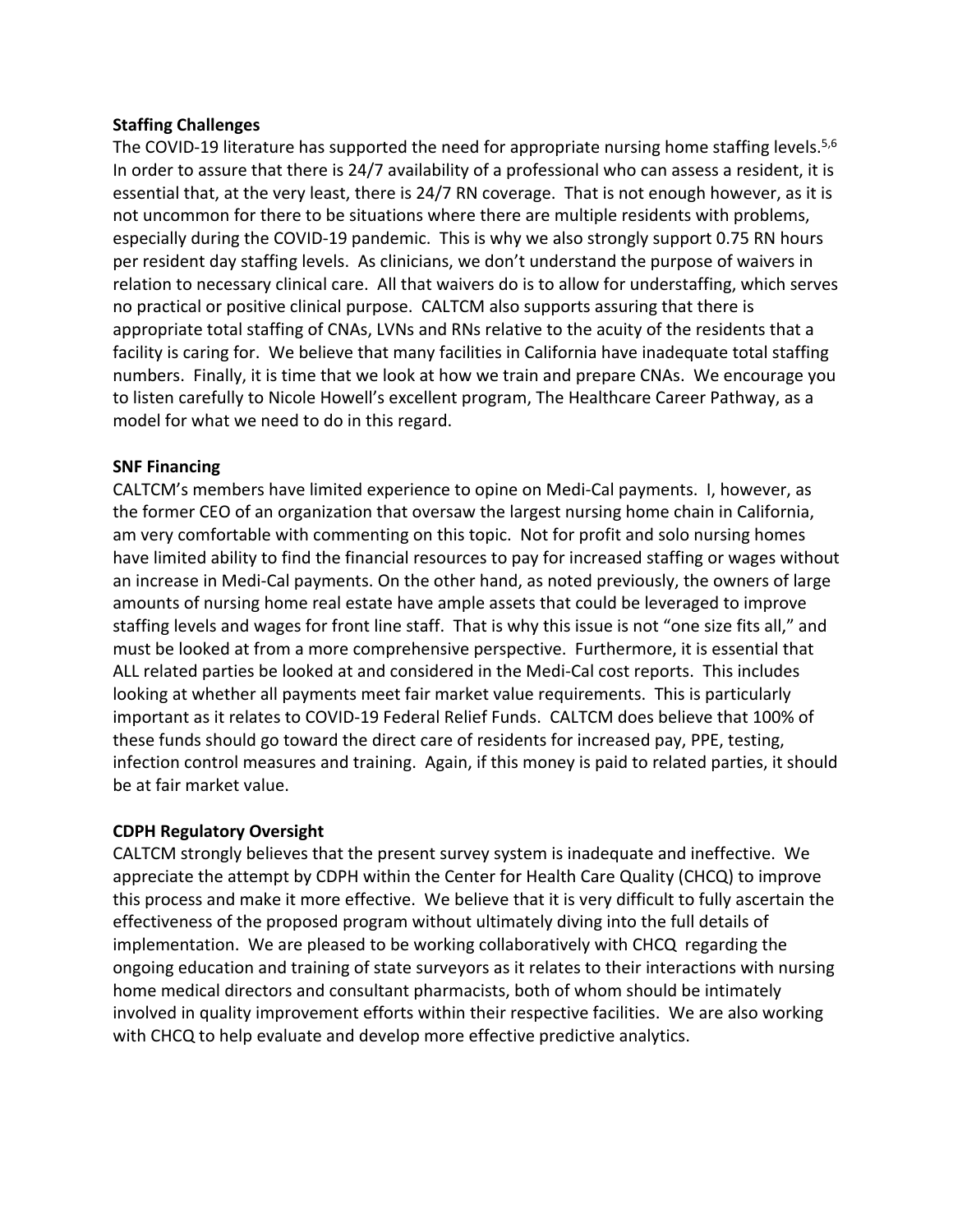# **Staffing Challenges**

The COVID-19 literature has supported the need for appropriate nursing home staffing levels.<sup>5,6</sup> In order to assure that there is 24/7 availability of a professional who can assess a resident, it is essential that, at the very least, there is 24/7 RN coverage. That is not enough however, as it is not uncommon for there to be situations where there are multiple residents with problems, especially during the COVID-19 pandemic. This is why we also strongly support 0.75 RN hours per resident day staffing levels. As clinicians, we don't understand the purpose of waivers in relation to necessary clinical care. All that waivers do is to allow for understaffing, which serves no practical or positive clinical purpose. CALTCM also supports assuring that there is appropriate total staffing of CNAs, LVNs and RNs relative to the acuity of the residents that a facility is caring for. We believe that many facilities in California have inadequate total staffing numbers. Finally, it is time that we look at how we train and prepare CNAs. We encourage you to listen carefully to Nicole Howell's excellent program, The Healthcare Career Pathway, as a model for what we need to do in this regard.

# **SNF Financing**

CALTCM's members have limited experience to opine on Medi-Cal payments. I, however, as the former CEO of an organization that oversaw the largest nursing home chain in California, am very comfortable with commenting on this topic. Not for profit and solo nursing homes have limited ability to find the financial resources to pay for increased staffing or wages without an increase in Medi-Cal payments. On the other hand, as noted previously, the owners of large amounts of nursing home real estate have ample assets that could be leveraged to improve staffing levels and wages for front line staff. That is why this issue is not "one size fits all," and must be looked at from a more comprehensive perspective. Furthermore, it is essential that ALL related parties be looked at and considered in the Medi-Cal cost reports. This includes looking at whether all payments meet fair market value requirements. This is particularly important as it relates to COVID-19 Federal Relief Funds. CALTCM does believe that 100% of these funds should go toward the direct care of residents for increased pay, PPE, testing, infection control measures and training. Again, if this money is paid to related parties, it should be at fair market value.

# **CDPH Regulatory Oversight**

CALTCM strongly believes that the present survey system is inadequate and ineffective. We appreciate the attempt by CDPH within the Center for Health Care Quality (CHCQ) to improve this process and make it more effective. We believe that it is very difficult to fully ascertain the effectiveness of the proposed program without ultimately diving into the full details of implementation. We are pleased to be working collaboratively with CHCQ regarding the ongoing education and training of state surveyors as it relates to their interactions with nursing home medical directors and consultant pharmacists, both of whom should be intimately involved in quality improvement efforts within their respective facilities. We are also working with CHCQ to help evaluate and develop more effective predictive analytics.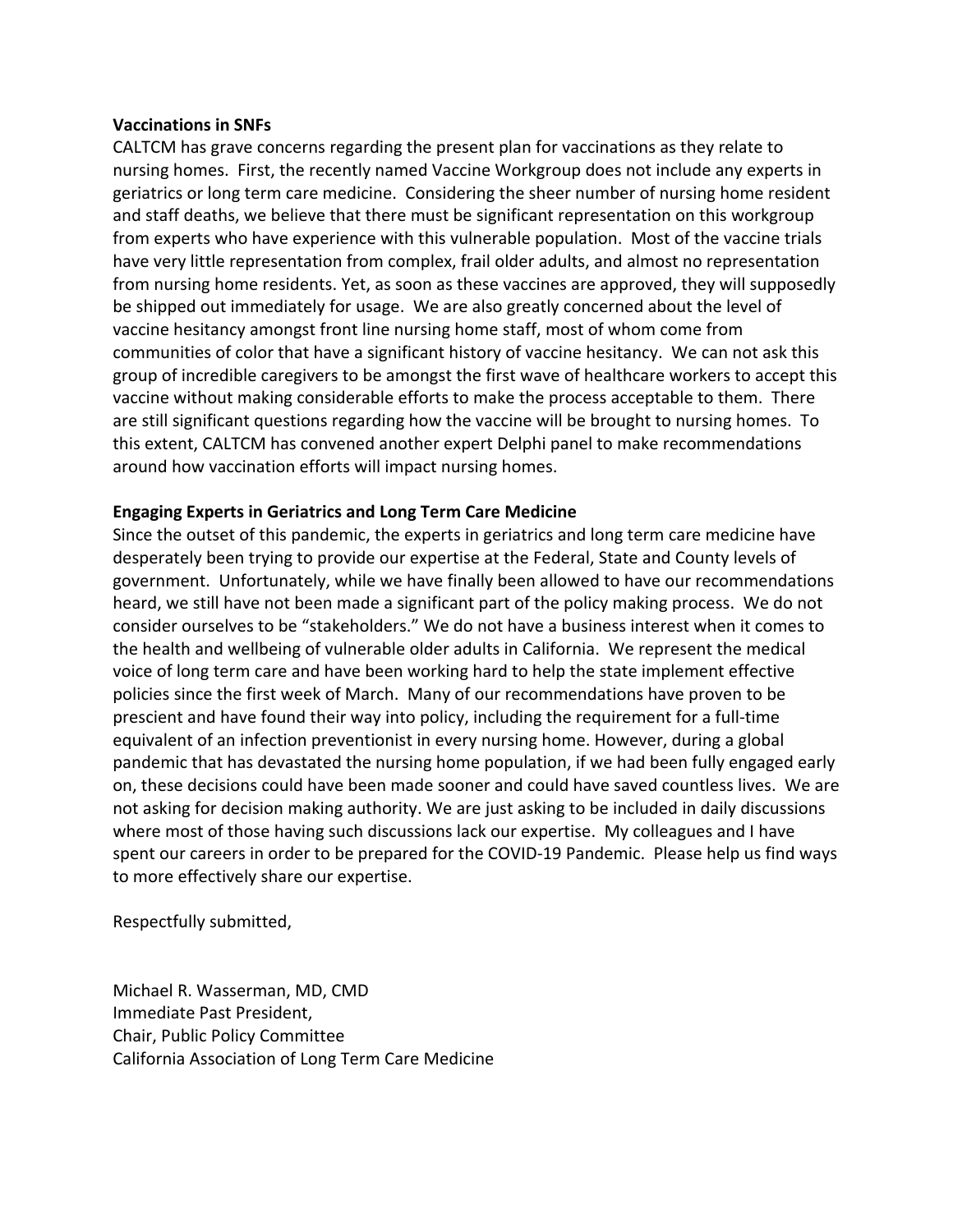#### **Vaccinations in SNFs**

CALTCM has grave concerns regarding the present plan for vaccinations as they relate to nursing homes. First, the recently named Vaccine Workgroup does not include any experts in geriatrics or long term care medicine. Considering the sheer number of nursing home resident and staff deaths, we believe that there must be significant representation on this workgroup from experts who have experience with this vulnerable population. Most of the vaccine trials have very little representation from complex, frail older adults, and almost no representation from nursing home residents. Yet, as soon as these vaccines are approved, they will supposedly be shipped out immediately for usage. We are also greatly concerned about the level of vaccine hesitancy amongst front line nursing home staff, most of whom come from communities of color that have a significant history of vaccine hesitancy. We can not ask this group of incredible caregivers to be amongst the first wave of healthcare workers to accept this vaccine without making considerable efforts to make the process acceptable to them. There are still significant questions regarding how the vaccine will be brought to nursing homes. To this extent, CALTCM has convened another expert Delphi panel to make recommendations around how vaccination efforts will impact nursing homes.

#### **Engaging Experts in Geriatrics and Long Term Care Medicine**

Since the outset of this pandemic, the experts in geriatrics and long term care medicine have desperately been trying to provide our expertise at the Federal, State and County levels of government. Unfortunately, while we have finally been allowed to have our recommendations heard, we still have not been made a significant part of the policy making process. We do not consider ourselves to be "stakeholders." We do not have a business interest when it comes to the health and wellbeing of vulnerable older adults in California. We represent the medical voice of long term care and have been working hard to help the state implement effective policies since the first week of March. Many of our recommendations have proven to be prescient and have found their way into policy, including the requirement for a full-time equivalent of an infection preventionist in every nursing home. However, during a global pandemic that has devastated the nursing home population, if we had been fully engaged early on, these decisions could have been made sooner and could have saved countless lives. We are not asking for decision making authority. We are just asking to be included in daily discussions where most of those having such discussions lack our expertise. My colleagues and I have spent our careers in order to be prepared for the COVID-19 Pandemic. Please help us find ways to more effectively share our expertise.

Respectfully submitted,

Michael R. Wasserman, MD, CMD Immediate Past President, Chair, Public Policy Committee California Association of Long Term Care Medicine